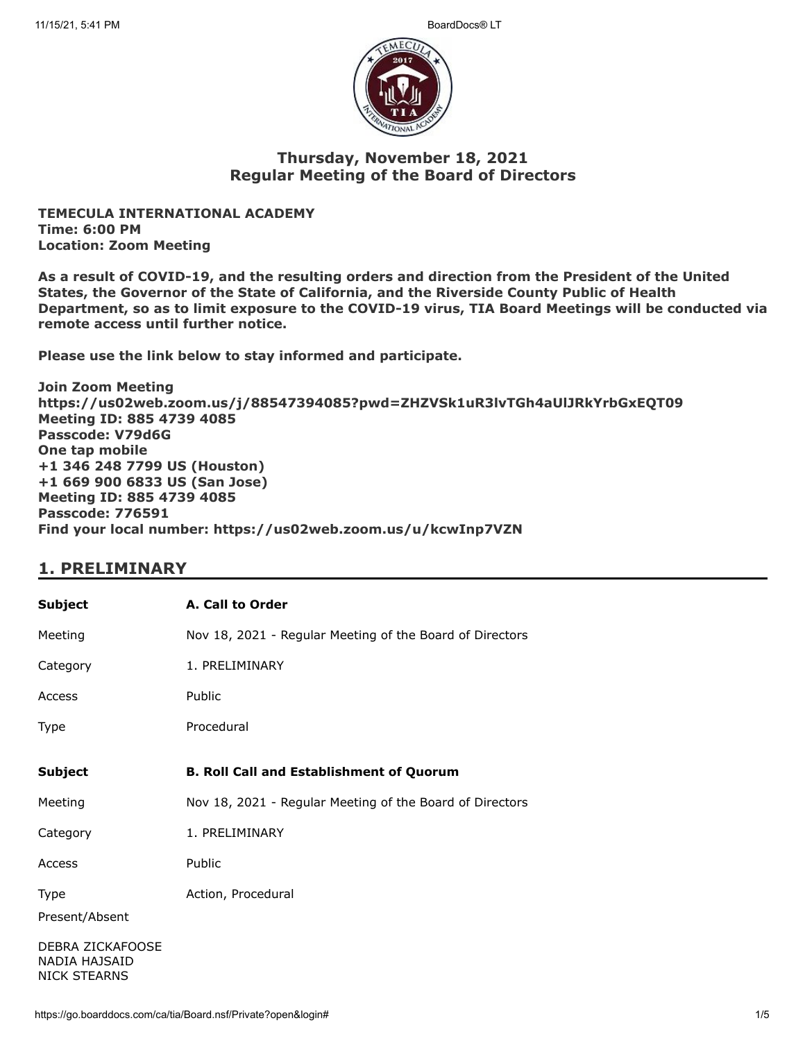

### **Thursday, November 18, 2021 Regular Meeting of the Board of Directors**

**TEMECULA INTERNATIONAL ACADEMY Time: 6:00 PM Location: Zoom Meeting**

**As a result of COVID-19, and the resulting orders and direction from the President of the United States, the Governor of the State of California, and the Riverside County Public of Health Department, so as to limit exposure to the COVID-19 virus, TIA Board Meetings will be conducted via remote access until further notice.**

**Please use the link below to stay informed and participate.** 

**Join Zoom Meeting https://us02web.zoom.us/j/88547394085?pwd=ZHZVSk1uR3lvTGh4aUlJRkYrbGxEQT09 Meeting ID: 885 4739 4085 Passcode: V79d6G One tap mobile +1 346 248 7799 US (Houston) +1 669 900 6833 US (San Jose) Meeting ID: 885 4739 4085 Passcode: 776591 Find your local number: https://us02web.zoom.us/u/kcwInp7VZN**

## **1. PRELIMINARY**

| <b>Subject</b>                                           | A. Call to Order                                         |
|----------------------------------------------------------|----------------------------------------------------------|
| Meeting                                                  | Nov 18, 2021 - Regular Meeting of the Board of Directors |
| Category                                                 | 1. PRELIMINARY                                           |
| Access                                                   | Public                                                   |
| Type                                                     | Procedural                                               |
| <b>Subject</b>                                           | <b>B. Roll Call and Establishment of Quorum</b>          |
| Meeting                                                  | Nov 18, 2021 - Regular Meeting of the Board of Directors |
| Category                                                 | 1. PRELIMINARY                                           |
| Access                                                   | Public                                                   |
| Type<br>Present/Absent                                   | Action, Procedural                                       |
| DEBRA ZICKAFOOSE<br>NADIA HAJSAID<br><b>NICK STEARNS</b> |                                                          |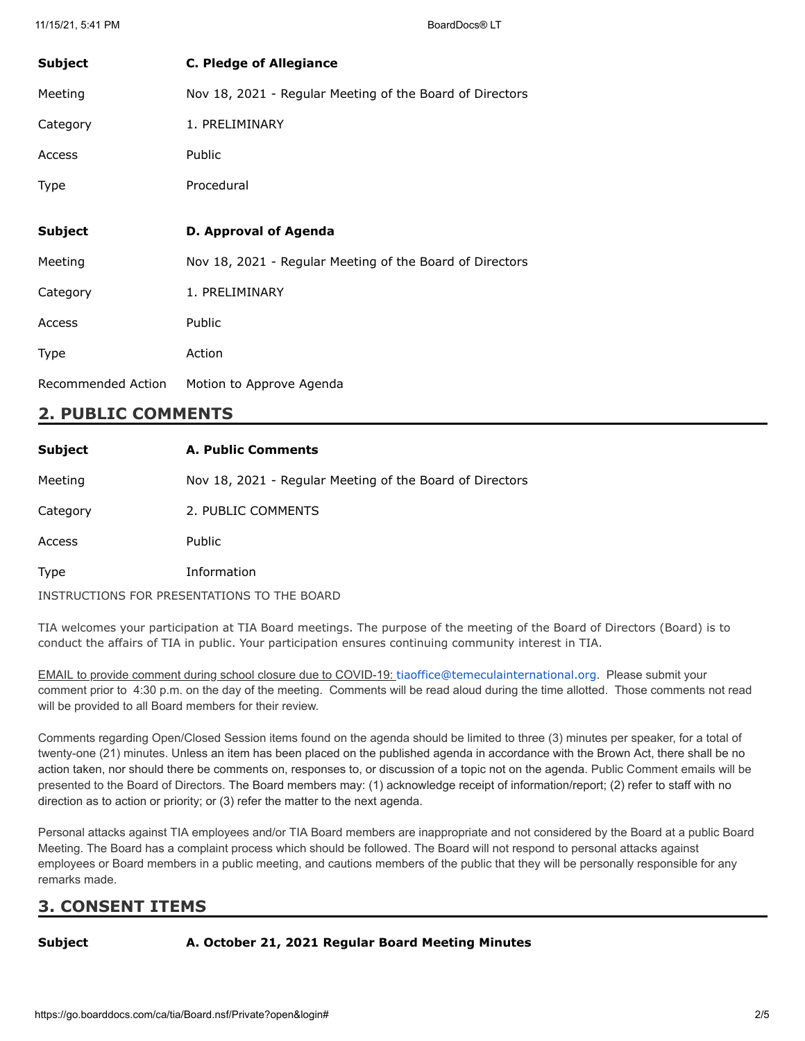| <b>Subject</b> | <b>C. Pledge of Allegiance</b>                           |
|----------------|----------------------------------------------------------|
| Meeting        | Nov 18, 2021 - Regular Meeting of the Board of Directors |
| Category       | 1. PRELIMINARY                                           |
| Access         | Public                                                   |
| Type           | Procedural                                               |
|                |                                                          |
| <b>Subject</b> | D. Approval of Agenda                                    |
| Meeting        | Nov 18, 2021 - Regular Meeting of the Board of Directors |
| Category       | 1. PRELIMINARY                                           |
| Access         | Public                                                   |
| Type           |                                                          |
|                | Action                                                   |

## **2. PUBLIC COMMENTS**

| <b>Subject</b> | A. Public Comments                                       |
|----------------|----------------------------------------------------------|
| Meeting        | Nov 18, 2021 - Regular Meeting of the Board of Directors |
| Category       | 2. PUBLIC COMMENTS                                       |
| Access         | <b>Public</b>                                            |
| Type           | Information                                              |
|                | INSTRUCTIONS FOR PRESENTATIONS TO THE BOARD              |

TIA welcomes your participation at TIA Board meetings. The purpose of the meeting of the Board of Directors (Board) is to conduct the affairs of TIA in public. Your participation ensures continuing community interest in TIA.

EMAIL to provide comment during school closure due to COVID-19: [tiaoffice@temeculainternational.org](mailto:tiaoffice@temeculainternational.org). Please submit your comment prior to 4:30 p.m. on the day of the meeting. Comments will be read aloud during the time allotted. Those comments not read will be provided to all Board members for their review.

Comments regarding Open/Closed Session items found on the agenda should be limited to three (3) minutes per speaker, for a total of twenty-one (21) minutes. Unless an item has been placed on the published agenda in accordance with the Brown Act, there shall be no action taken, nor should there be comments on, responses to, or discussion of a topic not on the agenda. Public Comment emails will be presented to the Board of Directors. The Board members may: (1) acknowledge receipt of information/report; (2) refer to staff with no direction as to action or priority; or (3) refer the matter to the next agenda.

Personal attacks against TIA employees and/or TIA Board members are inappropriate and not considered by the Board at a public Board Meeting. The Board has a complaint process which should be followed. The Board will not respond to personal attacks against employees or Board members in a public meeting, and cautions members of the public that they will be personally responsible for any remarks made.

# **3. CONSENT ITEMS**

### **Subject A. October 21, 2021 Regular Board Meeting Minutes**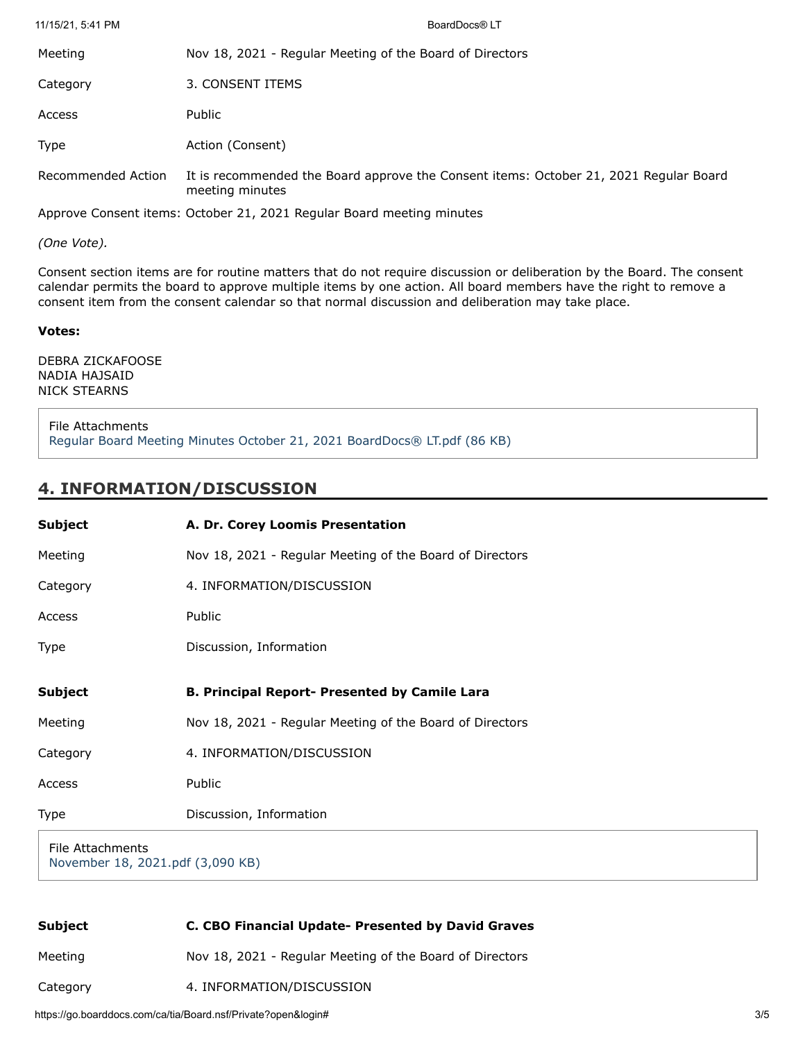| 11/15/21, 5:41 PM  | BoardDocs® LT                                                                                            |
|--------------------|----------------------------------------------------------------------------------------------------------|
| Meeting            | Nov 18, 2021 - Regular Meeting of the Board of Directors                                                 |
| Category           | 3. CONSENT ITEMS                                                                                         |
| Access             | Public                                                                                                   |
| <b>Type</b>        | Action (Consent)                                                                                         |
| Recommended Action | It is recommended the Board approve the Consent items: October 21, 2021 Regular Board<br>meeting minutes |

Approve Consent items: October 21, 2021 Regular Board meeting minutes

*(One Vote).*

Consent section items are for routine matters that do not require discussion or deliberation by the Board. The consent calendar permits the board to approve multiple items by one action. All board members have the right to remove a consent item from the consent calendar so that normal discussion and deliberation may take place.

#### **Votes:**

DEBRA ZICKAFOOSE NADIA HAJSAID NICK STEARNS

File Attachments [Regular Board Meeting Minutes October 21, 2021 BoardDocs® LT.pdf \(86 KB\)](https://go.boarddocs.com/ca/tia/Board.nsf/files/C8T24K005DF4/$file/Regular%20Board%20Meeting%20Minutes%20October%2021%2C%202021%20BoardDocs%C2%AE%20LT.pdf)

### **4. INFORMATION/DISCUSSION**

| <b>Subject</b>   | A. Dr. Corey Loomis Presentation                         |
|------------------|----------------------------------------------------------|
| Meeting          | Nov 18, 2021 - Regular Meeting of the Board of Directors |
| Category         | 4. INFORMATION/DISCUSSION                                |
| Access           | Public                                                   |
| Type             | Discussion, Information                                  |
| <b>Subject</b>   | <b>B. Principal Report- Presented by Camile Lara</b>     |
| Meeting          | Nov 18, 2021 - Regular Meeting of the Board of Directors |
| Category         | 4. INFORMATION/DISCUSSION                                |
| Access           | Public                                                   |
| Type             | Discussion, Information                                  |
| File Attachments |                                                          |

[November 18, 2021.pdf \(3,090 KB\)](https://go.boarddocs.com/ca/tia/Board.nsf/files/C8T3WG08DA2E/$file/November%2018%2C%202021.pdf)

| <b>Subject</b> | C. CBO Financial Update- Presented by David Graves       |
|----------------|----------------------------------------------------------|
| Meeting        | Nov 18, 2021 - Regular Meeting of the Board of Directors |
| Category       | 4. INFORMATION/DISCUSSION                                |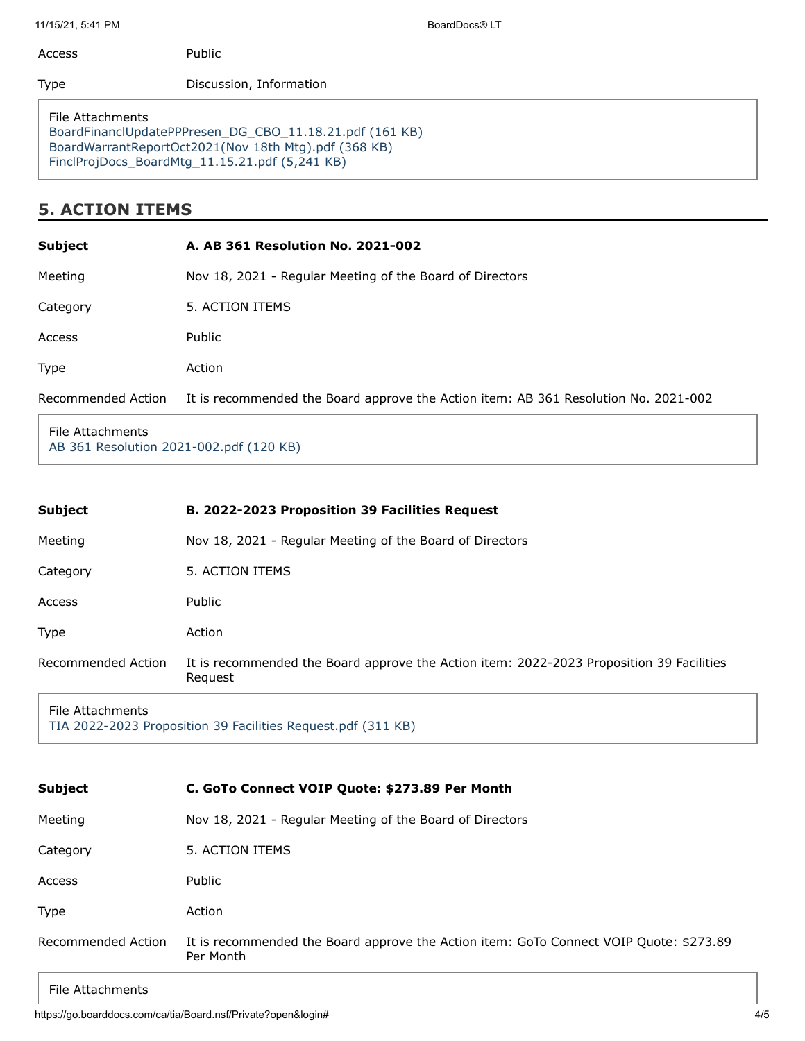11/15/21, 5:41 PM BoardDocs® LT

| Access | Public                  |
|--------|-------------------------|
| Type   | Discussion, Information |
|        |                         |

File Attachments [BoardFinanclUpdatePPPresen\\_DG\\_CBO\\_11.18.21.pdf \(161 KB\)](https://go.boarddocs.com/ca/tia/Board.nsf/files/C8STRT73FFA9/$file/BoardFinanclUpdatePPPresen_DG_CBO_11.18.21.pdf) [BoardWarrantReportOct2021\(Nov 18th Mtg\).pdf \(368 KB\)](https://go.boarddocs.com/ca/tia/Board.nsf/files/C8STRV73FFC6/$file/BoardWarrantReportOct2021(Nov%2018th%20Mtg).pdf) [FinclProjDocs\\_BoardMtg\\_11.15.21.pdf \(5,241 KB\)](https://go.boarddocs.com/ca/tia/Board.nsf/files/C8STRX74011F/$file/FinclProjDocs_BoardMtg_11.15.21.pdf)

# **5. ACTION ITEMS**

| <b>Subject</b>     | A. AB 361 Resolution No. 2021-002                                                   |
|--------------------|-------------------------------------------------------------------------------------|
| Meeting            | Nov 18, 2021 - Regular Meeting of the Board of Directors                            |
| Category           | 5. ACTION ITEMS                                                                     |
| Access             | Public                                                                              |
| <b>Type</b>        | Action                                                                              |
| Recommended Action | It is recommended the Board approve the Action item: AB 361 Resolution No. 2021-002 |
|                    |                                                                                     |

File Attachments [AB 361 Resolution 2021-002.pdf \(120 KB\)](https://go.boarddocs.com/ca/tia/Board.nsf/files/C8STSB7422DB/$file/AB%20361%20Resolution%202021-002.pdf)

| <b>Subject</b>       | B. 2022-2023 Proposition 39 Facilities Request                                                      |
|----------------------|-----------------------------------------------------------------------------------------------------|
| Meeting              | Nov 18, 2021 - Regular Meeting of the Board of Directors                                            |
| Category             | 5. ACTION ITEMS                                                                                     |
| Access               | Public                                                                                              |
| Type                 | Action                                                                                              |
| Recommended Action   | It is recommended the Board approve the Action item: 2022-2023 Proposition 39 Facilities<br>Request |
| $Eila$ $A++achmontc$ |                                                                                                     |

File Attachments [TIA 2022-2023 Proposition 39 Facilities Request.pdf \(311 KB\)](https://go.boarddocs.com/ca/tia/Board.nsf/files/C8STT2744E80/$file/TIA%202022-2023%20%20Proposition%2039%20Facilities%20Request.pdf)

| Subject            | C. GoTo Connect VOIP Quote: \$273.89 Per Month                                                      |
|--------------------|-----------------------------------------------------------------------------------------------------|
| Meeting            | Nov 18, 2021 - Regular Meeting of the Board of Directors                                            |
| Category           | 5. ACTION ITEMS                                                                                     |
| Access             | Public                                                                                              |
| <b>Type</b>        | Action                                                                                              |
| Recommended Action | It is recommended the Board approve the Action item: GoTo Connect VOIP Quote: \$273.89<br>Per Month |

### File Attachments